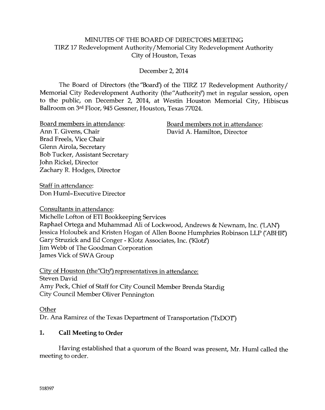#### MINUTES OF THE BOARD OF DIRECTORS MEETING TIRZ 17 Redevelopment Authority/Memorial City Redevelopment Authority City of Flouston, Texas

December 2,2014

The Board of Directors (the "Board") of the TIRZ 17 Redevelopment Authority/ Memorial City Redevelopment Authority (the "Authority") met in regular session, open to the public, on December 2, 2014, at Westin Houston Memorial City, Hibiscus Ballroom on 3rd Floor, 945 Gessner, Houston, Texas 77024.

Board members in attendance: Board members not in attendance:

Ann T. Givens, Chair David A. Hamilton, Director Brad Freels, Vice Chair Glenn Airola, Secretary Bob Tucker, Assistant Secretary ]ohn Rickel, Director Zachary R. Hodges, Director

Staff in attendance: Don Huml-Executive Director

Consultants in attendance:

Michelle Lo{ton of ETI Bookkeeping Services Raphael Ortega and Muhammad Ali of Lockwood, Andrews & Newnam, Inc. ('I-AN) Jessica Holoubek and Kristen Hogan of Allen Boone Humphries Robinson LLP ('ABHR') Gary Struzick and Ed Conger - Klotz Associates, Inc. ('Klotz') ]im Webb of The Goodman Corporation James Vick of SWA Group

 $City of Houston (the "City") represents the result of the "City") represents a tree.$ Steven David Amy Peck, Chief of Staff for City Council Member Brenda Stardig City Council Member Oliver Pennington

**Other** 

Dr. Ana Ramirez of the Texas Department of Transportation (TxDOT)

# 1. Call Meeting to Order

Having established that a quorum of the Board was present, Mr. Huml called the meeting to order.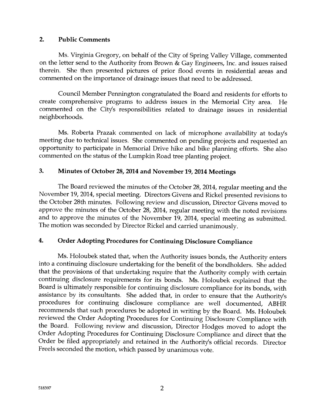#### 2. Public Comments

Ms. Virginia Gregory, on behalf of the City of Spring Valley Village, commented on the lefter send to the Authority from Brown & Cay Engineers, Inc. and issues raised therein. She then presented pictures of prior flood events in residential areas and comrnented on the importance of drainage issues that need to be addressed.

Council Member Pennington congratulated the Board and residents for efforts to create comprehensive programs to address issues in the Memorial City area. He commented on the City's responsibilities related to drainage issues in residential neighborhoods.

Ms. Roberta Prazak commented on lack of microphone availability at today's meeting due to technical issues. She commented on pending projects and requested an opportunity to participate in Memcrial Drive hike and bike planning efforts. She also commented on the status of the Lumpkin Road tree planting project.

#### 3. Minutes of October 28, 2014 and November 19, 2014 Meetings

The Board reviewed the minutes of the October 28, 2014, regular meeting and the November 19, 2014, special meeting. Directors Givens and Rickel presented revisions to the October 28th minutes. Following review and discussion, Director Givens moved to approve the minutes of the October 28, 2014, regular meeting with the noted revisions and to approve the minutes of the November 19, 2014, special meeting as submitted. The motion was seconded by Director Rickel and carried unanimously.

## 4. Order Adopting Procedures for Continuing Disclosure Compliance

Ms. Holoubek stated that, when the Authorify issues bonds, the Authority enters into a continuing disclosure undertaking for the benefit of the bondholders. She added that the provisions of that undertaking require that the Authority comply with certain continuing disclosure requirements for its bonds. Ms. Holoubek explained that the Board is ultimately responsible for continuing disclosure compliance for its bonds, with assistance by its consultants. She added that, in order to ensure that the Authority's procedures for continuing disclosure compliance are well documented, ABHR recommends that such procedures be adopted in writing by the Board. Ms. Holoubek reviewed the Order Adopting Procedures for Continuing Disclosure Compliance with the Board. Following review and discussion, Director Hodges moved to adopt the Order Adopting Procedures for Continuing Disclosure Compliance and direct that the Order be filed appropriately and retained in the Authority's official records. Director Freels seconded the motion, which passed by unanimous vote.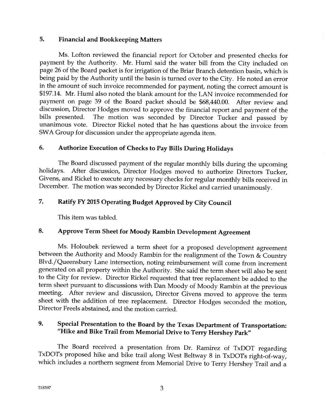#### 5, Financial and Bookkeeping Mattere

Ms. Lofton reviewed the financial report for October and presented checks for payment by the Authority. Mr. Huml said the water bill from the City included on page 26 of the Board packet is for irrigation of the Briar Branch detention basin, which is being paid by the Authority until the basin is turned over to the City. He noted an error in the amount of such invoice recommended for payment, noting the correct amount is \$197.14. Mr. Huml also noted the blank amount for the LAN invoice recommended for payment on page 39 of the Board packet should be \$68,440.00. After review and discussion, Director Hodges moved to approve the financial report and payment of the bills presented. The motion was seconded by Director Tucker and passed by The motion was seconded by Director Tucker and passed by unanimous vote. Director Rickel noted that he has questions about the invoice from SWA Group for discussion under the appropriate agenda item.

#### 6. Authorize Execution of Checks to Pay Bills During Holidays

The Soard discussed payment of the regular monthly bills during the upcoming holidays. After discussion, Director Hodges moved to authorize Directors Tucker, Givens, and Rickel to execute any necessary checks for regular monfiy bills received in December. The motion was seconded by Director Rickel and carried unanimously.

## 7. Ratify FY 2015 Operating Budget Approved by City Council

This item was tabled.

## 8. Approve Term Sheet for Moody Rambin Development Agreement

Ms. Holoubek reviewed a term sheet for a proposed development agreement between the Authority and Moody Rambin for the realignment of the Town & Country Blvd./Queensbury Lane intersection, noting reimbursement will come from increment generated on all property within the Authorify. She said the term sheet will also be sent to the City for review. Director Rickel requested that free replacement be added to the term sheet pursuant to discussions with Dan Moody of Moody Rambin at the previous meeting. After review and discussion, Director Givens moved to approve the term sheet with the addition of tree replacement. Director Hodges seconded the motion, Director Freels abstained, and the motion carried.

# 9. Special Presentation to the Board by the Texas Department of Transportation: "Hike and Bike Trail from Memorial Drive to Terry Hershey Park"

The Board received a presentation from Dr. Ramirez of  $Tx$ DOT regarding TxDOTs proposed hike and bike trail along West Beltway 8 in TxDOTs right-of-way, which includes a northern segment from Memorial Drive to Terry Hershey Trail and a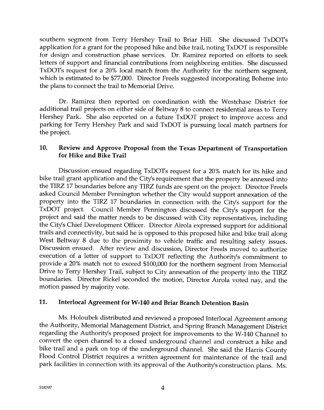southern segment from Terry Hershey Trail to Briar Hill. She discussed TxDOTs application for a grant for the proposed hike and bike frail, noting TxDOT is responsible for design and construction phase services. Dr. Ramirez reported on efforts to seek letters cf support and financial contributions from neighboring entities. She discussed TxDOTs request for a 20% local match from the Authority for the northern segment, which is estimated to be \$77,000. Director Freels suggested incorporating Boheme into the plans to connect the trail to Memorial Drive.

Dr. Ramirez then reported on coordination with the Westchase District for additional trail projects on either side of Seltway 8 to connect residential areas to Terry Hershey Park. She also reported on a future TxDOT project to improve access and parking for Terry Hershey Park and said TxDOT is pursuing local match partners for the project.

#### 10. Review and Approve Proposal from the Texas Department of Transportation for Hike and Bike Trail

Discussion ensued regarding TxDOTs request for a 20% match for its hike and bike trail grant application and the City's requirement that the property be annexed into the TIRZ 17 boundaries before any TIRZ funds are spent on the project. Director Freels asked Council Member Pennington whether the City would suppcrt annexation of the property into the TIRZ 17 boundaries in connection with the City's support for the TxDOT project. Council Member Pennington discussed the City's support for the project and said the matter needs to be discussed with City representatives, including the City's Chief Development Officer. Director Airola expressed support for additional lrails and connectivity, but said he is opposed to this proposed hike and bike trail along West Beltway 8 due to the proximity to vehicle traffic and resulting safety issues. Discussion ensued. After review and discussion, Director Freels moved to authorize execution of a letter of support to TxDOT reflecting the Authority's commitment to provide a 20% match not to exceed \$100,000 for the northern segment from Memorial Drive to Terry Hershey Trail, subject to City annexation of the property into the TIRZ boundaries. Director Rickel seconded the motion, Director Airola voted nay, and the motion passed by majority vote.

### 11. Interlocal Agreement for W-140 and Briar Branch Detention Basin

Ms. Holoubek distributed and reviewed a proposed Interlocal Agreement among the Authority, Memorial Management District, and Spring Branch Management District regarding the Authority's proposed project for improvements to the W-140 Channel to convert the open channel to a closed underground channel and consfruct a hike and bike trail and a park on top of the underground channel. She said the Harris County Flood Control District requires a written agreement for maintenance of the trail and park facilities in connection with its approval of the Authority's construction plans. Ms.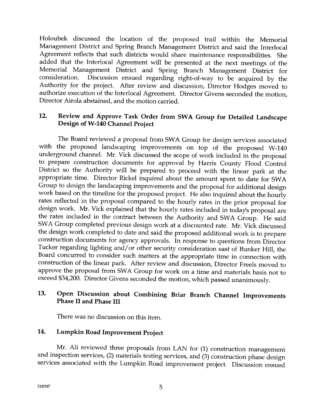Holoubek discussed the location of the proposed trail within the Memorial Management District and Spring Branch Management District and said the Interlocal Agreement reflects that such districts would share maintenance responsibilities. She added that the Interlocal Agreement will be presented at the next meetings of the Memorial Management District and Spring Branch Management District for consideration. Discussion ensued regarding right-of-way to be acquired by the Discussion ensued regarding right-of-way to be acquired by the Authority for the project. After review and discussion, Director Hodges moved to authorize execution of the Interlocal Agreement. Director Givens seconded the motion, Director Airola abstained, and the motion carried.

#### 12. Review and Approve Task Order from SWA Group for Detailed Landscape Design of W-140 Channel Project

The Board reviewed a proposal from SWA Group for design services associated with the proposed landscaping improvements on top cf the proposed W-140 underground channel. Mr. Vick discussed the scope of work included in the proposal to prepare construction documents for approval by Harris County Flood Control District so the Authority will be prepared to proceed with the linear park at the appropriate time. Director Rickel inquired about the amount spent to date for SWA Group to design the landscaping improvements and the proposal for additional design work based on the timeline for the proposed project. He also inquired about the hourly rates reflected in the proposal compared to the hourly rates in the prior proposal for design work. Mr. Vick explained that the hourly rates included in today's proposal are the rates included in the contract between the Authority and SWA Group. He said SWA Croup completed previous design work at a discounted rate. Mr. Vick discussed the design work completed to date and said the proposed additional work is to prepare construction documents for agency approvals. In response to questions from Director Tucker regarding lighting and/or other security consideration east of Bunker Hill, the Board concurred to consider such matters at the appropriate time in connection with construction of the linear park. After review and discussion, Director Freels moved to approve the proposal from SWA Group for work on a time and materials basis not to exceed \$34,200. Director Givens seconded the motion, which passed unanimously.

# 13. Open Discussion about Combining Briar Branch Channel Improvements Phase II and Phase III

There was no discussion on this item.

# 14. Lumpkin Road Improvement Project

Mr. Ali reviewed three proposals from LAN for (1) construction management and inspection services, (2) materials testing services, and (3) construction phase design services associated with the Lumpkin Road improvement project. Discussion ensued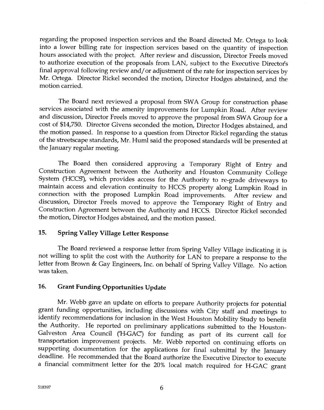regarding the proposed inspection services and the Board directed Mr. Ortega to look into a lower billing rate for inspection services based on the quantity of inspection hours associated with the project. After review and discussion, Director Freels moved to authorize execution of the proposals from LAN, subject to the Executive Director's final approval following review and/or adjustment of the rate for inspection services by Mr. Ortega. Director Rickel seconded the motion, Director Hodges abstained, and the motion carried.

The Board next reviewed a proposal from SWA Group for construction phase services associated with the amenity improvements for Lumpkin Road. After review and discussion, Director Freels moved to approve the proposal from SWA Group for a cost of \$14,750. Director Givens seconded the motion, Director Hodges abstained, and the motion passed. In response to a question from Director Rickel regarding the status of the streetscape standards, Mr. Huml said the proposed standards will be presented at the ]anuary regular meeting.

The Board then considered approving a Temporary Right of Entry and Construction Agreement between the Authority and Houston Community College System ('HCCS'), which provides access for the Authority to re-grade driveways to maintain access and elevation continuity to HCCS property along Lumpkin Road in connection with the proposed Lumpkin Road improvements. After review and discussion, Director Freels moved to approve the Temporary Right of Entry and Construction Agreement between the Authority and HCCS. Director Rickel seconded the motion, Director Hodges abstained, and the motion passed.

#### 15. Spring Valley Village Letter Response

The Board reviewed a response letter from Spring Valley Village indicating it is not willing to split the cost with the Authority for LAN to prepare a response to the letter from Brown & Cay Engineers, Inc. on behal{ of Spring Vailey Village. No action was taken.

#### 16. Grant Funding Opportunities Update

Mr. Webb gave an update on efforts to prepare Authority projects for potential grant funding opportunities, including discussions with City staff and meetings to identify recommendations for inclusion in the West Houston Mobility Study to benefit the Authority. He reported on preliminary applications submitted to the Houston-Galveston Area Council ('H-GAC') for funding as part of its current call for transportation improvement projects. Mr. Webb reported on continuing efforts on supporting documentation for the applications for final submittal by the January deadline. He recommended that the Board authorize the Executive Director to execute a financial commitment letter for the 20% local match required for H-GAC grant